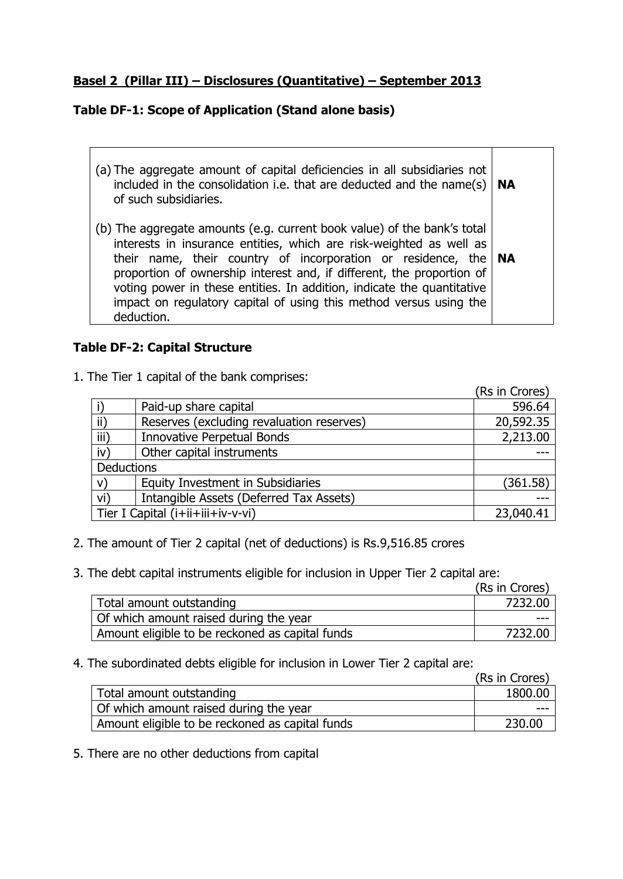## **Basel 2 (Pillar III) – Disclosures (Quantitative) – September 2013**

# **Table DF-1: Scope of Application (Stand alone basis)**

| (a) The aggregate amount of capital deficiencies in all subsidiaries not<br>included in the consolidation i.e. that are deducted and the name(s) $ $<br>of such subsidiaries.                                                                                                                                                                                                                                                                                | <b>NA</b> |
|--------------------------------------------------------------------------------------------------------------------------------------------------------------------------------------------------------------------------------------------------------------------------------------------------------------------------------------------------------------------------------------------------------------------------------------------------------------|-----------|
| (b) The aggregate amounts (e.g. current book value) of the bank's total<br>interests in insurance entities, which are risk-weighted as well as<br>their name, their country of incorporation or residence, the $ NA $<br>proportion of ownership interest and, if different, the proportion of<br>voting power in these entities. In addition, indicate the quantitative<br>impact on regulatory capital of using this method versus using the<br>deduction. |           |

## **Table DF-2: Capital Structure**

Ē

1. The Tier 1 capital of the bank comprises:

|                   |                                           | (Rs in Crores) |
|-------------------|-------------------------------------------|----------------|
|                   | Paid-up share capital                     | 596.64         |
| $\mathsf{ii}$     | Reserves (excluding revaluation reserves) | 20,592.35      |
| iii)              | <b>Innovative Perpetual Bonds</b>         | 2,213.00       |
| iv)               | Other capital instruments                 |                |
| <b>Deductions</b> |                                           |                |
| V)                | Equity Investment in Subsidiaries         | (361.58)       |
| vi)               | Intangible Assets (Deferred Tax Assets)   |                |
|                   | Tier I Capital (i+ii+iii+iv-v-vi)         | 23,040.41      |

- 2. The amount of Tier 2 capital (net of deductions) is Rs.9,516.85 crores
- 3. The debt capital instruments eligible for inclusion in Upper Tier 2 capital are:

|                                                 | (Rs in Crores) |
|-------------------------------------------------|----------------|
| Total amount outstanding                        | 7232.00        |
| Of which amount raised during the year          |                |
| Amount eligible to be reckoned as capital funds | 7232.00        |

4. The subordinated debts eligible for inclusion in Lower Tier 2 capital are:

|                                                 | (Rs in Crores) |
|-------------------------------------------------|----------------|
| Total amount outstanding                        | 1800.00        |
| Of which amount raised during the year          |                |
| Amount eligible to be reckoned as capital funds | 230.00         |

5. There are no other deductions from capital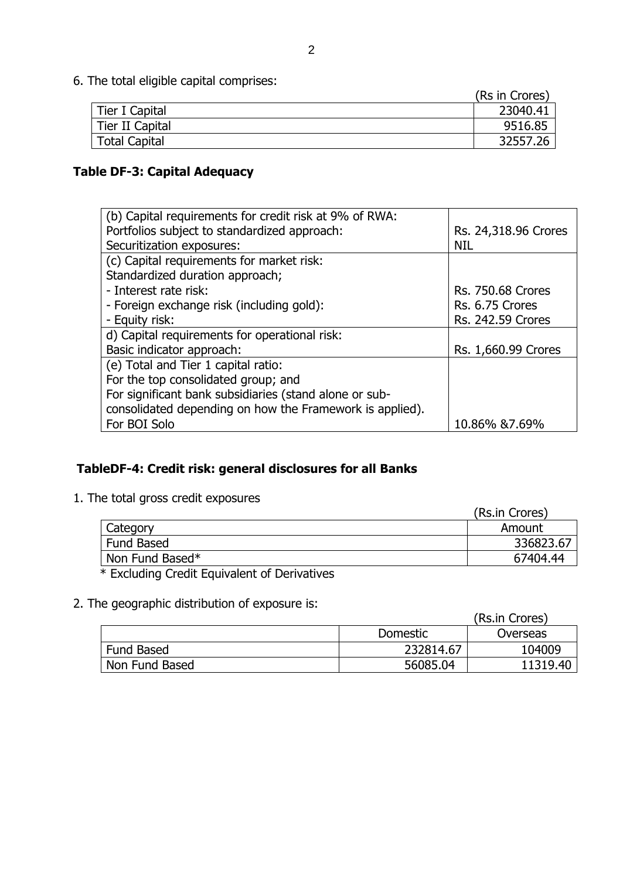6. The total eligible capital comprises:

|                 | (Rs in Crores) |
|-----------------|----------------|
| Tier I Capital  | 23040.41       |
| Tier II Capital | 9516.85        |
| Total Capital   | 32557.26       |

# **Table DF-3: Capital Adequacy**

| (b) Capital requirements for credit risk at 9% of RWA:   |                          |
|----------------------------------------------------------|--------------------------|
| Portfolios subject to standardized approach:             | Rs. 24,318.96 Crores     |
| Securitization exposures:                                | <b>NIL</b>               |
| (c) Capital requirements for market risk:                |                          |
| Standardized duration approach;                          |                          |
| - Interest rate risk:                                    | <b>Rs. 750.68 Crores</b> |
| - Foreign exchange risk (including gold):                | Rs. 6.75 Crores          |
| - Equity risk:                                           | Rs. 242.59 Crores        |
| d) Capital requirements for operational risk:            |                          |
| Basic indicator approach:                                | Rs. 1,660.99 Crores      |
| (e) Total and Tier 1 capital ratio:                      |                          |
| For the top consolidated group; and                      |                          |
| For significant bank subsidiaries (stand alone or sub-   |                          |
| consolidated depending on how the Framework is applied). |                          |
| For BOI Solo                                             | 10.86% & 7.69%           |

# **TableDF-4: Credit risk: general disclosures for all Banks**

1. The total gross credit exposures

|                                              | (Rs.in Crores) |
|----------------------------------------------|----------------|
| Category                                     | Amount         |
| <b>Fund Based</b>                            | 336823.67      |
| Non Fund Based*                              | 67404.44       |
| * Excluding Credit Equivalent of Derivatives |                |

# 2. The geographic distribution of exposure is:

|                   |           | (Rs.in Crores) |
|-------------------|-----------|----------------|
|                   | Domestic  | Overseas       |
| <b>Fund Based</b> | 232814.67 | 104009         |
| Non Fund Based    | 56085.04  | 11319.40       |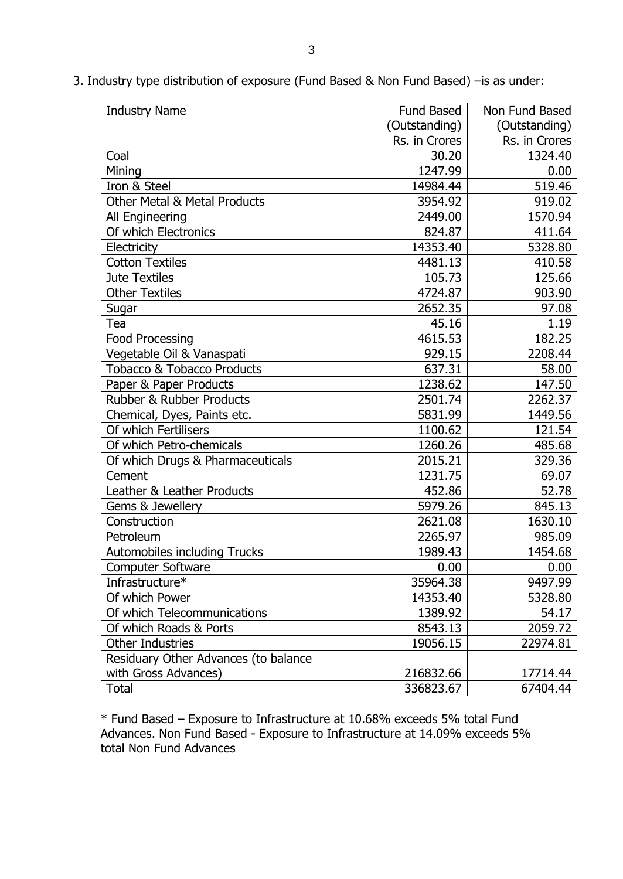| <b>Industry Name</b>                    | Fund Based    | Non Fund Based |
|-----------------------------------------|---------------|----------------|
|                                         | (Outstanding) | (Outstanding)  |
|                                         | Rs. in Crores | Rs. in Crores  |
| Coal                                    | 30.20         | 1324.40        |
| Mining                                  | 1247.99       | 0.00           |
| Iron & Steel                            | 14984.44      | 519.46         |
| <b>Other Metal &amp; Metal Products</b> | 3954.92       | 919.02         |
| All Engineering                         | 2449.00       | 1570.94        |
| Of which Electronics                    | 824.87        | 411.64         |
| Electricity                             | 14353.40      | 5328.80        |
| <b>Cotton Textiles</b>                  | 4481.13       | 410.58         |
| <b>Jute Textiles</b>                    | 105.73        | 125.66         |
| <b>Other Textiles</b>                   | 4724.87       | 903.90         |
| Sugar                                   | 2652.35       | 97.08          |
| Tea                                     | 45.16         | 1.19           |
| Food Processing                         | 4615.53       | 182.25         |
| Vegetable Oil & Vanaspati               | 929.15        | 2208.44        |
| <b>Tobacco &amp; Tobacco Products</b>   | 637.31        | 58.00          |
| Paper & Paper Products                  | 1238.62       | 147.50         |
| Rubber & Rubber Products                | 2501.74       | 2262.37        |
| Chemical, Dyes, Paints etc.             | 5831.99       | 1449.56        |
| Of which Fertilisers                    | 1100.62       | 121.54         |
| Of which Petro-chemicals                | 1260.26       | 485.68         |
| Of which Drugs & Pharmaceuticals        | 2015.21       | 329.36         |
| Cement                                  | 1231.75       | 69.07          |
| Leather & Leather Products              | 452.86        | 52.78          |
| Gems & Jewellery                        | 5979.26       | 845.13         |
| Construction                            | 2621.08       | 1630.10        |
| Petroleum                               | 2265.97       | 985.09         |
| Automobiles including Trucks            | 1989.43       | 1454.68        |
| <b>Computer Software</b>                | 0.00          | 0.00           |
| Infrastructure*                         | 35964.38      | 9497.99        |
| Of which Power                          | 14353.40      | 5328.80        |
| Of which Telecommunications             | 1389.92       | 54.17          |
| Of which Roads & Ports                  | 8543.13       | 2059.72        |
| <b>Other Industries</b>                 | 19056.15      | 22974.81       |
| Residuary Other Advances (to balance    |               |                |
| with Gross Advances)                    | 216832.66     | 17714.44       |
| <b>Total</b>                            | 336823.67     | 67404.44       |

3. Industry type distribution of exposure (Fund Based & Non Fund Based) –is as under:

\* Fund Based – Exposure to Infrastructure at 10.68% exceeds 5% total Fund Advances. Non Fund Based - Exposure to Infrastructure at 14.09% exceeds 5% total Non Fund Advances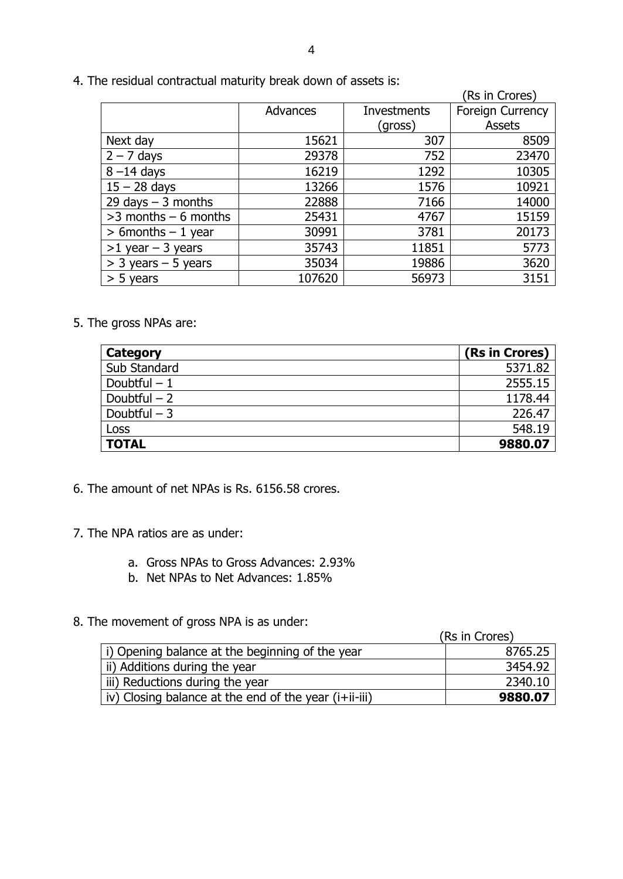|                         |          |             | (Rs in Crores)          |
|-------------------------|----------|-------------|-------------------------|
|                         | Advances | Investments | <b>Foreign Currency</b> |
|                         |          | (gross)     | Assets                  |
| Next day                | 15621    | 307         | 8509                    |
| $2 - 7$ days            | 29378    | 752         | 23470                   |
| $8 - 14$ days           | 16219    | 1292        | 10305                   |
| $15 - 28$ days          | 13266    | 1576        | 10921                   |
| 29 days $-$ 3 months    | 22888    | 7166        | 14000                   |
| $>3$ months $-6$ months | 25431    | 4767        | 15159                   |
| $> 6$ months $-1$ year  | 30991    | 3781        | 20173                   |
| $>1$ year - 3 years     | 35743    | 11851       | 5773                    |
| $>$ 3 years – 5 years   | 35034    | 19886       | 3620                    |
| $> 5$ years             | 107620   | 56973       | 3151                    |

4. The residual contractual maturity break down of assets is:

5. The gross NPAs are:

| Category      | (Rs in Crores) |
|---------------|----------------|
| Sub Standard  | 5371.82        |
| Doubtful $-1$ | 2555.15        |
| Doubtful $-2$ | 1178.44        |
| Doubtful $-3$ | 226.47         |
| Loss          | 548.19         |
| <b>TOTAL</b>  | 9880.07        |

6. The amount of net NPAs is Rs. 6156.58 crores.

- 7. The NPA ratios are as under:
	- a. Gross NPAs to Gross Advances: 2.93%
	- b. Net NPAs to Net Advances: 1.85%
- 8. The movement of gross NPA is as under:

| (Rs in Crores) |  |
|----------------|--|
|----------------|--|

| i) Opening balance at the beginning of the year       | 8765.25 |
|-------------------------------------------------------|---------|
| ii) Additions during the year                         | 3454.92 |
| iii) Reductions during the year                       | 2340.10 |
| iv) Closing balance at the end of the year (i+ii-iii) | 9880.07 |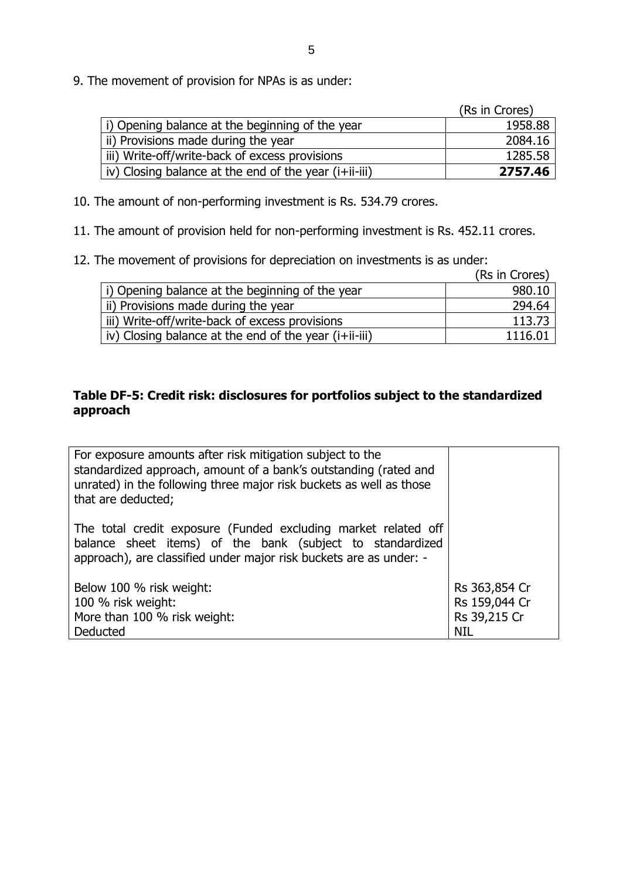9. The movement of provision for NPAs is as under:

|                                                       | (Rs in Crores) |
|-------------------------------------------------------|----------------|
| i) Opening balance at the beginning of the year       | 1958.88        |
| ii) Provisions made during the year                   | 2084.16        |
| iii) Write-off/write-back of excess provisions        | 1285.58        |
| iv) Closing balance at the end of the year (i+ii-iii) | 2757.46        |

10. The amount of non-performing investment is Rs. 534.79 crores.

11. The amount of provision held for non-performing investment is Rs. 452.11 crores.

12. The movement of provisions for depreciation on investments is as under:

|                                                       | (Rs in Crores) |
|-------------------------------------------------------|----------------|
| i) Opening balance at the beginning of the year       | 980.10         |
| ii) Provisions made during the year                   | 294.64         |
| iii) Write-off/write-back of excess provisions        | 113.73         |
| iv) Closing balance at the end of the year (i+ii-iii) | 1116.01        |

## **Table DF-5: Credit risk: disclosures for portfolios subject to the standardized approach**

| For exposure amounts after risk mitigation subject to the<br>standardized approach, amount of a bank's outstanding (rated and<br>unrated) in the following three major risk buckets as well as those<br>that are deducted; |                                |
|----------------------------------------------------------------------------------------------------------------------------------------------------------------------------------------------------------------------------|--------------------------------|
| The total credit exposure (Funded excluding market related off<br>balance sheet items) of the bank (subject to standardized<br>approach), are classified under major risk buckets are as under: -                          |                                |
| Below 100 % risk weight:<br>100 % risk weight:                                                                                                                                                                             | Rs 363,854 Cr<br>Rs 159,044 Cr |
| More than 100 % risk weight:                                                                                                                                                                                               | Rs 39,215 Cr                   |
| Deducted                                                                                                                                                                                                                   | NIL                            |